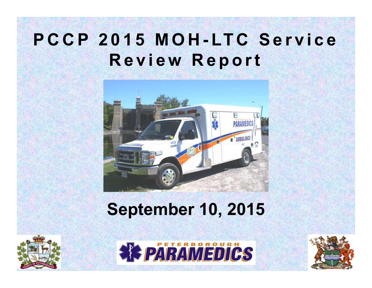### PCCP 2015 MOH-LTC Service **<sup>R</sup> <sup>e</sup> <sup>v</sup> <sup>i</sup> <sup>e</sup> <sup>w</sup> <sup>R</sup> <sup>e</sup> <sup>p</sup> <sup>o</sup> <sup>r</sup> <sup>t</sup>**



### **September 10, 2015**





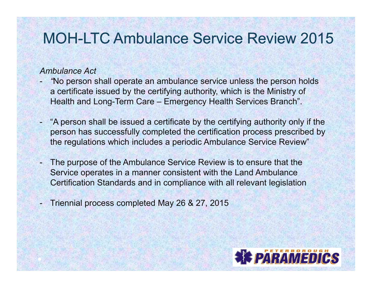#### *Ambulance Act*

- - *"*No person shall operate an ambulance service unless the person holds a certificate issued by the certifying authority, which is the Ministry of Health and Long-Term Care – Emergency Health Services Branch".
- - "A person shall be issued a certificate by the certifying authority only if the person has successfully completed the certification process prescribed by the regulations which includes a periodic Ambulance Service Review"
- - The purpose of the Ambulance Service Review is to ensure that the Service operates in a manner consistent with the Land Ambulance Certification Standards and in compliance with all relevant legislation
- -Triennial process completed May 26 & 27, 2015

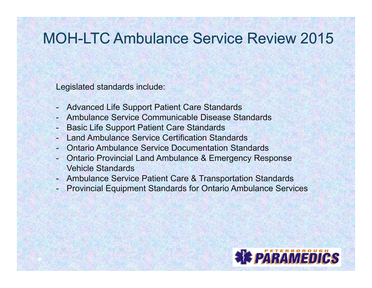Legislated standards include:

- Advanced Life Support Patient Care Standards
- Ambulance Service Communicable Disease Standards
- Basic Life Support Patient Care Standards
- Land Ambulance Service Certification Standards -
- Ontario Ambulance Service Documentation Standards
- Ontario Provincial Land Ambulance & Emergency Response Vehicle Standards
- Ambulance Service Patient Care & Transportation Standards
- Provincial Equipment Standards for Ontario Ambulance Services

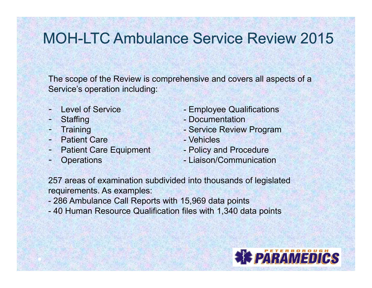The scope of the Review is comprehensive and covers all aspects of a Service's operation including:

- 
- Staffing
- 
- Patient Care  **Access** Vehicles
- Patient Care Equipment Policy and Procedure
- 
- Level of Service **Contains Employee Qualifications**
- Staffing  **Documentation**<br>Training **Service Review** 
	- Service Review Program<br>- Vehicles
	-
	-
- **Operations Communication** Liaison/Communication

257 areas of examination subdivided into thousands of legislated requirements. As examples:

- 286 Ambulance Call Reports with 15,969 data points<br>49 Uluman Becauses Qualification files with 4,340 do
- 40 Human Resource Qualification files with 1,340 data points

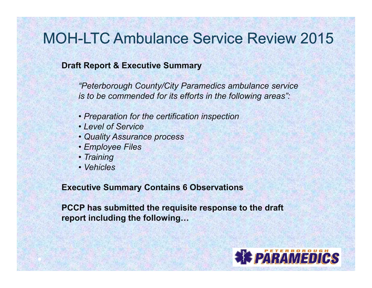#### **Draft Report & Executive Summary**

*"Peterborough County/City Paramedics ambulance service is to be commended for its efforts in the following areas":* 

- *Preparation for the certification inspection*
- *Level of Service*
- *Quality Assurance process*
- *Employee Files*
- *Training*
- *Vehicles*

#### **Executive Summary Contains 6 Observations**

**PCCP has submitted the requisite response to the draft report including the following…** 

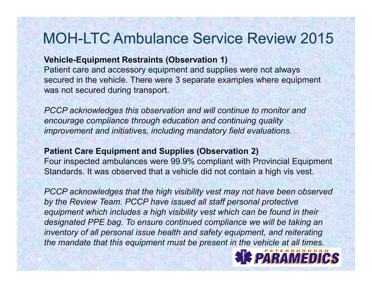#### **Vehicle-Equipment Restraints (Observation 1)**

Patient care and accessory equipment and supplies were not always secured in the vehicle. There were 3 separate examples where equipment was not secured during transport.

*PCCP acknowledges this observation and will continue to monitor and encourage compliance through education and continuing quality improvement and initiatives, including mandatory field evaluations.*

### **Patient Care Equipment and Supplies (Observation 2)**

 Four inspected ambulances were 99.9% compliant with Provincial Equipment Standards. It was observed that a vehicle did not contain a high vis vest.

*PCCP acknowledges that the high visibility vest may not have been observed by the Review Team. PCCP have issued all staff personal protective* equipment which includes a high visibility vest which can be found in their *designated PPE bag. To ensure continued compliance we will be taking an inventory of all personal issue health and safety equipment, and reiterating the mandate that this equipment must be present in the vehicle at all times.*

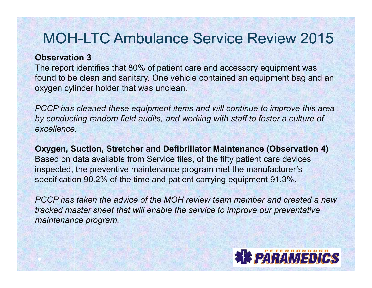#### **Observation 3**

 The report identifies that 80% of patient care and accessory equipment was found to be clean and sanitary. One vehicle contained an equipment bag and an oxygen cylinder holder that was unclean.

*PCCP has cleaned these equipment items and will continue to improve this area by conducting random field audits, and working with staff to foster a culture of excellence.*

**Oxygen, Suction, Stretcher and Defibrillator Maintenance (Observation 4)**Based on data available from Service files, of the fifty patient care devices inspected, the preventive maintenance program met the manufacturer's specification 90.2% of the time and patient carrying equipment 91.3%.

*PCCP has taken the advice of the MOH review team member and created a new tracked master sheet that will enable the service to improve our preventative maintenance program.*

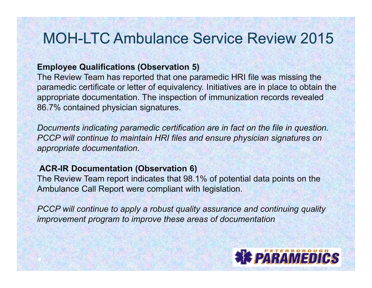#### **Employee Qualifications (Observation 5)**

The Review Team has reported that one paramedic HRI file was missing the paramedic certificate or letter of equivalency. Initiatives are in place to obtain the appropriate documentation. The inspection of immunization records revealed 86.7% contained physician signatures.

*Documents indicating paramedic certification are in fact on the file in question. PCCP will continue to maintain HRI files and ensure physician signatures on appropriate documentation.*

#### **ACR-IR Documentation (Observation 6)**

The Review Team report indicates that 98.1% of potential data points on the Ambulance Call Report were compliant with legislation.

*PCCP will continue to apply a robust quality assurance and continuing quality improvement program to improve these areas of documentation*

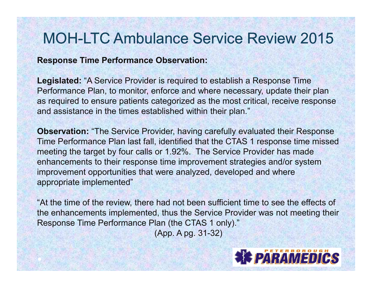#### **Response Time Performance Observation:**

**Legislated:** "A Service Provider is required to establish a Response Time Performance Plan, to monitor, enforce and where necessary, update their plan as required to ensure patients categorized as the most critical, receive response and assistance in the times established within their plan."

**Observation:** "The Service Provider, having carefully evaluated their Response Time Performance Plan last fall, identified that the CTAS 1 response time missed meeting the target by four calls or 1.92%. The Service Provider has made enhancements to their response time improvement strategies and/or system improvement opportunities that were analyzed, developed and where appropriate implemented"

"At the time of the review, there had not been sufficient time to see the effects of the enhancements implemented, thus the Service Provider was not meeting their Response Time Performance Plan (the CTAS 1 only)."

(App. A pg. 31-32)